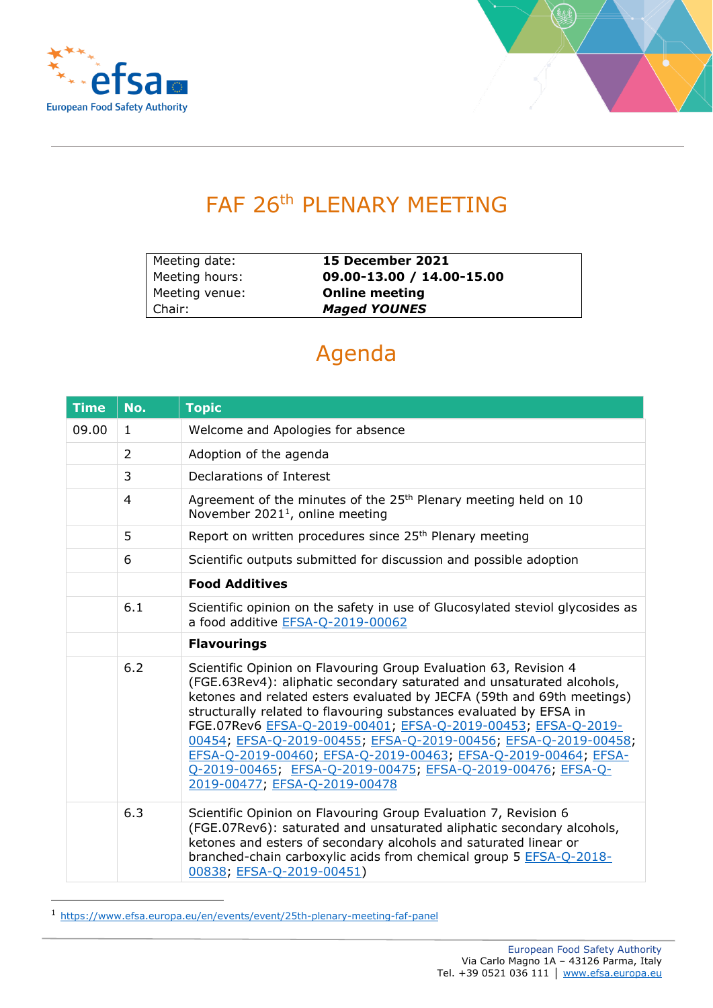



## FAF 26<sup>th</sup> PLENARY MEETING

| Meeting date:  | 15 December 2021          |
|----------------|---------------------------|
| Meeting hours: | 09.00-13.00 / 14.00-15.00 |
| Meeting venue: | <b>Online meeting</b>     |
| Chair:         | <b>Maged YOUNES</b>       |

## Agenda

| <b>Time</b> | No.          | <b>Topic</b>                                                                                                                                                                                                                                                                                                                                                                                                                                                                                                                                                                                    |
|-------------|--------------|-------------------------------------------------------------------------------------------------------------------------------------------------------------------------------------------------------------------------------------------------------------------------------------------------------------------------------------------------------------------------------------------------------------------------------------------------------------------------------------------------------------------------------------------------------------------------------------------------|
| 09.00       | $\mathbf{1}$ | Welcome and Apologies for absence                                                                                                                                                                                                                                                                                                                                                                                                                                                                                                                                                               |
|             | 2            | Adoption of the agenda                                                                                                                                                                                                                                                                                                                                                                                                                                                                                                                                                                          |
|             | 3            | Declarations of Interest                                                                                                                                                                                                                                                                                                                                                                                                                                                                                                                                                                        |
|             | 4            | Agreement of the minutes of the 25 <sup>th</sup> Plenary meeting held on 10<br>November 2021 <sup>1</sup> , online meeting                                                                                                                                                                                                                                                                                                                                                                                                                                                                      |
|             | 5            | Report on written procedures since 25 <sup>th</sup> Plenary meeting                                                                                                                                                                                                                                                                                                                                                                                                                                                                                                                             |
|             | 6            | Scientific outputs submitted for discussion and possible adoption                                                                                                                                                                                                                                                                                                                                                                                                                                                                                                                               |
|             |              | <b>Food Additives</b>                                                                                                                                                                                                                                                                                                                                                                                                                                                                                                                                                                           |
|             | 6.1          | Scientific opinion on the safety in use of Glucosylated steviol glycosides as<br>a food additive EFSA-Q-2019-00062                                                                                                                                                                                                                                                                                                                                                                                                                                                                              |
|             |              | <b>Flavourings</b>                                                                                                                                                                                                                                                                                                                                                                                                                                                                                                                                                                              |
|             | 6.2          | Scientific Opinion on Flavouring Group Evaluation 63, Revision 4<br>(FGE.63Rev4): aliphatic secondary saturated and unsaturated alcohols,<br>ketones and related esters evaluated by JECFA (59th and 69th meetings)<br>structurally related to flavouring substances evaluated by EFSA in<br>FGE.07Rev6 EFSA-Q-2019-00401; EFSA-Q-2019-00453; EFSA-Q-2019-<br>00454; EFSA-Q-2019-00455; EFSA-Q-2019-00456; EFSA-Q-2019-00458;<br>EFSA-Q-2019-00460; EFSA-Q-2019-00463; EFSA-Q-2019-00464; EFSA-<br>Q-2019-00465; EFSA-Q-2019-00475; EFSA-Q-2019-00476; EFSA-Q-<br>2019-00477; EFSA-Q-2019-00478 |
|             | 6.3          | Scientific Opinion on Flavouring Group Evaluation 7, Revision 6<br>(FGE.07Rev6): saturated and unsaturated aliphatic secondary alcohols,<br>ketones and esters of secondary alcohols and saturated linear or<br>branched-chain carboxylic acids from chemical group 5 EFSA-Q-2018-<br>00838; EFSA-Q-2019-00451)                                                                                                                                                                                                                                                                                 |

<sup>1</sup> [https://www.efsa.europa.eu/en/events/event/25th-plenary-meeting-faf-panel](https://eur03.safelinks.protection.outlook.com/?url=https%3A%2F%2Fwww.efsa.europa.eu%2Fen%2Fevents%2Fevent%2F25th-plenary-meeting-faf-panel&data=04%7C01%7C%7C9bc4c7e6e73240675cd608d9b5138443%7C406a174be31548bdaa0acdaddc44250b%7C1%7C0%7C637739917697508454%7CUnknown%7CTWFpbGZsb3d8eyJWIjoiMC4wLjAwMDAiLCJQIjoiV2luMzIiLCJBTiI6Ik1haWwiLCJXVCI6Mn0%3D%7C3000&sdata=LDnU0RTKtngL%2FQcaNH7d5LcR6cXjQRsh5M%2FHPIgf0n0%3D&reserved=0)